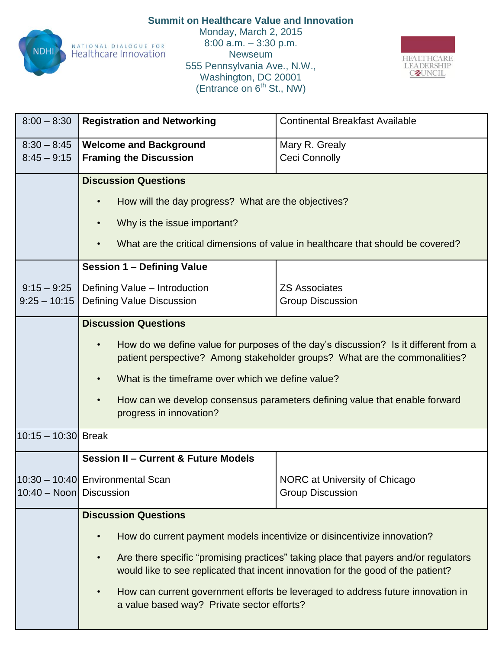

**Summit on Healthcare Value and Innovation** Monday, March 2, 2015 8:00 a.m. – 3:30 p.m. Newseum 555 Pennsylvania Ave., N.W., Washington, DC 20001 (Entrance on  $6<sup>th</sup>$  St., NW)



| $8:00 - 8:30$           | <b>Registration and Networking</b>                                                                                                                                                   | <b>Continental Breakfast Available</b> |  |  |
|-------------------------|--------------------------------------------------------------------------------------------------------------------------------------------------------------------------------------|----------------------------------------|--|--|
| $8:30 - 8:45$           | <b>Welcome and Background</b>                                                                                                                                                        | Mary R. Grealy                         |  |  |
| $8:45 - 9:15$           | <b>Framing the Discussion</b>                                                                                                                                                        | <b>Ceci Connolly</b>                   |  |  |
|                         | <b>Discussion Questions</b>                                                                                                                                                          |                                        |  |  |
|                         |                                                                                                                                                                                      |                                        |  |  |
|                         | How will the day progress? What are the objectives?                                                                                                                                  |                                        |  |  |
|                         | Why is the issue important?<br>$\bullet$                                                                                                                                             |                                        |  |  |
|                         |                                                                                                                                                                                      |                                        |  |  |
|                         | What are the critical dimensions of value in healthcare that should be covered?                                                                                                      |                                        |  |  |
|                         | <b>Session 1 - Defining Value</b>                                                                                                                                                    |                                        |  |  |
| $9:15 - 9:25$           | Defining Value - Introduction                                                                                                                                                        | <b>ZS Associates</b>                   |  |  |
| $9:25 - 10:15$          | Defining Value Discussion                                                                                                                                                            | <b>Group Discussion</b>                |  |  |
|                         |                                                                                                                                                                                      |                                        |  |  |
|                         | <b>Discussion Questions</b>                                                                                                                                                          |                                        |  |  |
|                         | How do we define value for purposes of the day's discussion? Is it different from a<br>$\bullet$                                                                                     |                                        |  |  |
|                         | patient perspective? Among stakeholder groups? What are the commonalities?                                                                                                           |                                        |  |  |
|                         | What is the timeframe over which we define value?<br>$\bullet$                                                                                                                       |                                        |  |  |
|                         | How can we develop consensus parameters defining value that enable forward<br>$\bullet$                                                                                              |                                        |  |  |
|                         | progress in innovation?                                                                                                                                                              |                                        |  |  |
|                         |                                                                                                                                                                                      |                                        |  |  |
| 10:15 - 10:30 Break     |                                                                                                                                                                                      |                                        |  |  |
|                         | <b>Session II - Current &amp; Future Models</b>                                                                                                                                      |                                        |  |  |
|                         | 10:30 - 10:40 Environmental Scan                                                                                                                                                     | NORC at University of Chicago          |  |  |
| 10:40 - Noon Discussion |                                                                                                                                                                                      | <b>Group Discussion</b>                |  |  |
|                         | <b>Discussion Questions</b>                                                                                                                                                          |                                        |  |  |
|                         |                                                                                                                                                                                      |                                        |  |  |
|                         | How do current payment models incentivize or disincentivize innovation?                                                                                                              |                                        |  |  |
|                         | Are there specific "promising practices" taking place that payers and/or regulators<br>$\bullet$<br>would like to see replicated that incent innovation for the good of the patient? |                                        |  |  |
|                         | How can current government efforts be leveraged to address future innovation in<br>$\bullet$<br>a value based way? Private sector efforts?                                           |                                        |  |  |